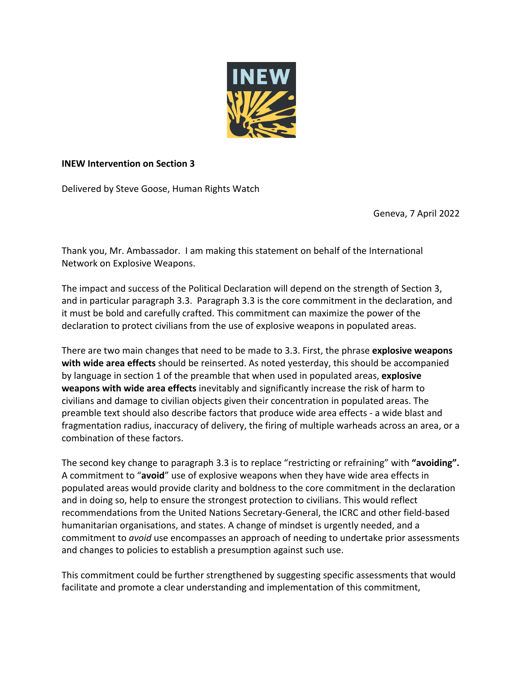

## **INEW Intervention on Section 3**

Delivered by Steve Goose, Human Rights Watch

Geneva, 7 April 2022

Thank you, Mr. Ambassador. I am making this statement on behalf of the International Network on Explosive Weapons.

The impact and success of the Political Declaration will depend on the strength of Section 3, and in particular paragraph 3.3. Paragraph 3.3 is the core commitment in the declaration, and it must be bold and carefully crafted. This commitment can maximize the power of the declaration to protect civilians from the use of explosive weapons in populated areas.

There are two main changes that need to be made to 3.3. First, the phrase **explosive weapons with wide area effects** should be reinserted. As noted yesterday, this should be accompanied by language in section 1 of the preamble that when used in populated areas, **explosive weapons with wide area effects** inevitably and significantly increase the risk of harm to civilians and damage to civilian objects given their concentration in populated areas. The preamble text should also describe factors that produce wide area effects - a wide blast and fragmentation radius, inaccuracy of delivery, the firing of multiple warheads across an area, or a combination of these factors.

The second key change to paragraph 3.3 is to replace "restricting or refraining" with **"avoiding".** A commitment to "**avoid**" use of explosive weapons when they have wide area effects in populated areas would provide clarity and boldness to the core commitment in the declaration and in doing so, help to ensure the strongest protection to civilians. This would reflect recommendations from the United Nations Secretary-General, the ICRC and other field-based humanitarian organisations, and states. A change of mindset is urgently needed, and a commitment to *avoid* use encompasses an approach of needing to undertake prior assessments and changes to policies to establish a presumption against such use.

This commitment could be further strengthened by suggesting specific assessments that would facilitate and promote a clear understanding and implementation of this commitment,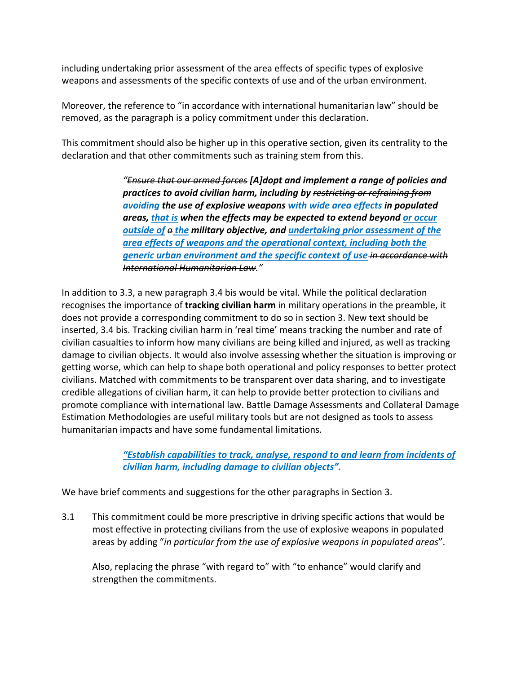including undertaking prior assessment of the area effects of specific types of explosive weapons and assessments of the specific contexts of use and of the urban environment.

Moreover, the reference to "in accordance with international humanitarian law" should be removed, as the paragraph is a policy commitment under this declaration.

This commitment should also be higher up in this operative section, given its centrality to the declaration and that other commitments such as training stem from this.

> *"Ensure that our armed forces [A]dopt and implement a range of policies and practices to avoid civilian harm, including by restricting or refraining from avoiding the use of explosive weapons with wide area effects in populated areas, that is when the effects may be expected to extend beyond or occur outside of a the military objective, and undertaking prior assessment of the area effects of weapons and the operational context, including both the generic urban environment and the specific context of use in accordance with International Humanitarian Law."*

In addition to 3.3, a new paragraph 3.4 bis would be vital. While the political declaration recognises the importance of **tracking civilian harm** in military operations in the preamble, it does not provide a corresponding commitment to do so in section 3. New text should be inserted, 3.4 bis. Tracking civilian harm in 'real time' means tracking the number and rate of civilian casualties to inform how many civilians are being killed and injured, as well as tracking damage to civilian objects. It would also involve assessing whether the situation is improving or getting worse, which can help to shape both operational and policy responses to better protect civilians. Matched with commitments to be transparent over data sharing, and to investigate credible allegations of civilian harm, it can help to provide better protection to civilians and promote compliance with international law. Battle Damage Assessments and Collateral Damage Estimation Methodologies are useful military tools but are not designed as tools to assess humanitarian impacts and have some fundamental limitations.

> *"Establish capabilities to track, analyse, respond to and learn from incidents of civilian harm, including damage to civilian objects".*

We have brief comments and suggestions for the other paragraphs in Section 3.

3.1 This commitment could be more prescriptive in driving specific actions that would be most effective in protecting civilians from the use of explosive weapons in populated areas by adding "*in particular from the use of explosive weapons in populated areas*".

Also, replacing the phrase "with regard to" with "to enhance" would clarify and strengthen the commitments.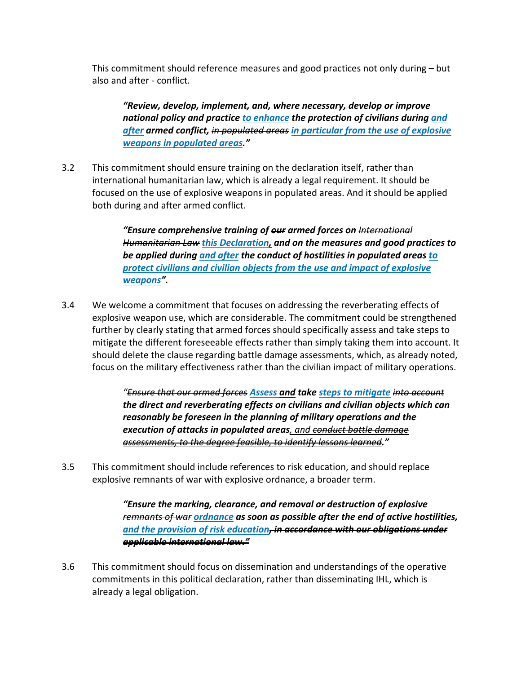This commitment should reference measures and good practices not only during – but also and after - conflict.

*"Review, develop, implement, and, where necessary, develop or improve national policy and practice to enhance the protection of civilians during and after armed conflict, in populated areas in particular from the use of explosive weapons in populated areas."*

3.2 This commitment should ensure training on the declaration itself, rather than international humanitarian law, which is already a legal requirement. It should be focused on the use of explosive weapons in populated areas. And it should be applied both during and after armed conflict.

> *"Ensure comprehensive training of our armed forces on International Humanitarian Law this Declaration, and on the measures and good practices to be applied during and after the conduct of hostilities in populated areas to protect civilians and civilian objects from the use and impact of explosive weapons".*

3.4 We welcome a commitment that focuses on addressing the reverberating effects of explosive weapon use, which are considerable. The commitment could be strengthened further by clearly stating that armed forces should specifically assess and take steps to mitigate the different foreseeable effects rather than simply taking them into account. It should delete the clause regarding battle damage assessments, which, as already noted, focus on the military effectiveness rather than the civilian impact of military operations.

> *"Ensure that our armed forces Assess and take steps to mitigate into account the direct and reverberating effects on civilians and civilian objects which can reasonably be foreseen in the planning of military operations and the execution of attacks in populated areas, and conduct battle damage assessments, to the degree feasible, to identify lessons learned."*

3.5 This commitment should include references to risk education, and should replace explosive remnants of war with explosive ordnance, a broader term.

> *"Ensure the marking, clearance, and removal or destruction of explosive remnants of war ordnance as soon as possible after the end of active hostilities, and the provision of risk education, in accordance with our obligations under applicable international law."*

3.6 This commitment should focus on dissemination and understandings of the operative commitments in this political declaration, rather than disseminating IHL, which is already a legal obligation.